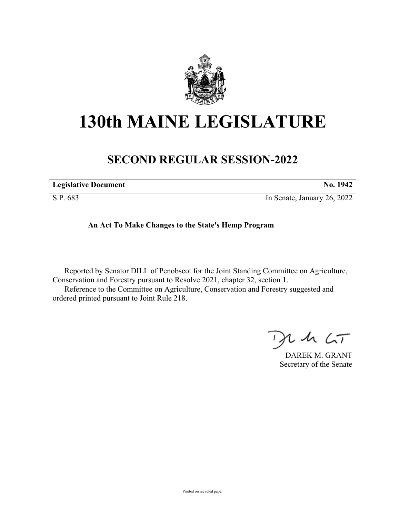

## **130th MAINE LEGISLATURE**

## **SECOND REGULAR SESSION-2022**

| <b>Legislative Document</b> | No. 1942 |
|-----------------------------|----------|
|-----------------------------|----------|

S.P. 683 In Senate, January 26, 2022

## **An Act To Make Changes to the State's Hemp Program**

Reported by Senator DILL of Penobscot for the Joint Standing Committee on Agriculture, Conservation and Forestry pursuant to Resolve 2021, chapter 32, section 1. Reference to the Committee on Agriculture, Conservation and Forestry suggested and ordered printed pursuant to Joint Rule 218.

 $U$  she  $\zeta_{\mathcal{T}}$ 

DAREK M. GRANT Secretary of the Senate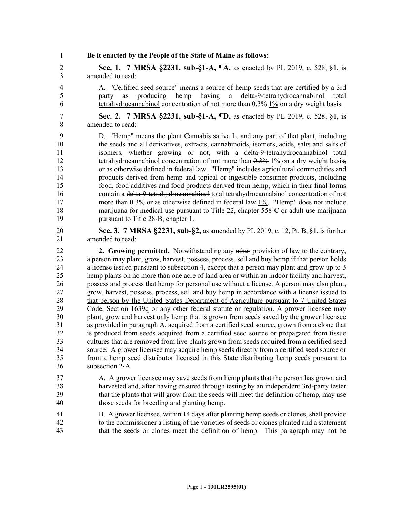1 **Be it enacted by the People of the State of Maine as follows:**

2 **Sec. 1. 7 MRSA §2231, sub-§1-A, ¶A,** as enacted by PL 2019, c. 528, §1, is 3 amended to read:

4 A. "Certified seed source" means a source of hemp seeds that are certified by a 3rd 5 party as producing hemp having a delta–9-tetrahydrocannabinol total 6 tetrahydrocannabinol concentration of not more than 0.3% 1% on a dry weight basis.

7 **Sec. 2. 7 MRSA §2231, sub-§1-A, ¶D,** as enacted by PL 2019, c. 528, §1, is 8 amended to read:

- 9 D. "Hemp" means the plant Cannabis sativa L. and any part of that plant, including 10 the seeds and all derivatives, extracts, cannabinoids, isomers, acids, salts and salts of 11 isomers, whether growing or not, with a delta–9-tetrahydrocannabinol total 12 tetrahydrocannabinol concentration of not more than  $0.3\%$  1% on a dry weight basis, 13 or as otherwise defined in federal law. "Hemp" includes agricultural commodities and 14 products derived from hemp and topical or ingestible consumer products, including 15 food, food additives and food products derived from hemp, which in their final forms 16 contain a delta-9-tetrahydrocannabinol total tetrahydrocannabinol concentration of not 17 more than 0.3% or as otherwise defined in federal law 1%. "Hemp" does not include 18 marijuana for medical use pursuant to Title 22, chapter 558–C or adult use marijuana 19 pursuant to Title 28-B, chapter 1.
- 20 **Sec. 3. 7 MRSA §2231, sub-§2,** as amended by PL 2019, c. 12, Pt. B, §1, is further 21 amended to read:
- 22 **2. Growing permitted.** Notwithstanding any other provision of law to the contrary, 23 a person may plant, grow, harvest, possess, process, sell and buy hemp if that person holds 24 a license issued pursuant to subsection 4, except that a person may plant and grow up to 3 25 hemp plants on no more than one acre of land area or within an indoor facility and harvest, 26 possess and process that hemp for personal use without a license. A person may also plant, 27 grow, harvest, possess, process, sell and buy hemp in accordance with a license issued to 28 that person by the United States Department of Agriculture pursuant to 7 United States 29 Code, Section 1639q or any other federal statute or regulation. A grower licensee may 30 plant, grow and harvest only hemp that is grown from seeds saved by the grower licensee 31 as provided in paragraph A, acquired from a certified seed source, grown from a clone that 32 is produced from seeds acquired from a certified seed source or propagated from tissue 33 cultures that are removed from live plants grown from seeds acquired from a certified seed 34 source. A grower licensee may acquire hemp seeds directly from a certified seed source or 35 from a hemp seed distributor licensed in this State distributing hemp seeds pursuant to 36 subsection 2‑A.
- 37 A. A grower licensee may save seeds from hemp plants that the person has grown and 38 harvested and, after having ensured through testing by an independent 3rd-party tester 39 that the plants that will grow from the seeds will meet the definition of hemp, may use 40 those seeds for breeding and planting hemp.
- 41 B. A grower licensee, within 14 days after planting hemp seeds or clones, shall provide 42 to the commissioner a listing of the varieties of seeds or clones planted and a statement 43 that the seeds or clones meet the definition of hemp. This paragraph may not be